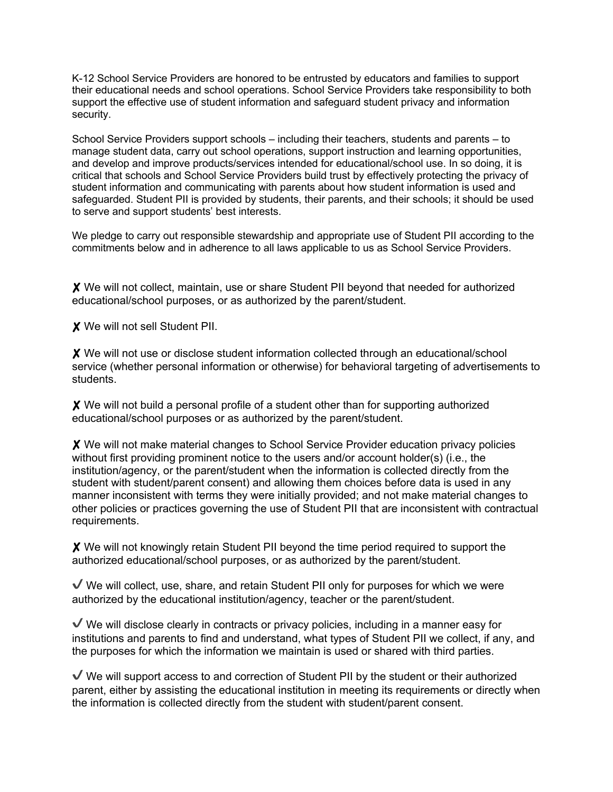K-12 School Service Providers are honored to be entrusted by educators and families to support their educational needs and school operations. School Service Providers take responsibility to both support the effective use of student information and safeguard student privacy and information security.

School Service Providers support schools – including their teachers, students and parents – to manage student data, carry out school operations, support instruction and learning opportunities, and develop and improve products/services intended for educational/school use. In so doing, it is critical that schools and School Service Providers build trust by effectively protecting the privacy of student information and communicating with parents about how student information is used and safeguarded. Student PII is provided by students, their parents, and their schools; it should be used to serve and support students' best interests.

We pledge to carry out responsible stewardship and appropriate use of Student PII according to the commitments below and in adherence to all laws applicable to us as School Service Providers.

✘ We will not collect, maintain, use or share Student PII beyond that needed for authorized educational/school purposes, or as authorized by the parent/student.

✘ We will not sell Student PII.

✘ We will not use or disclose student information collected through an educational/school service (whether personal information or otherwise) for behavioral targeting of advertisements to students.

✘ We will not build a personal profile of a student other than for supporting authorized educational/school purposes or as authorized by the parent/student.

✘ We will not make material changes to School Service Provider education privacy policies without first providing prominent notice to the users and/or account holder(s) (i.e., the institution/agency, or the parent/student when the information is collected directly from the student with student/parent consent) and allowing them choices before data is used in any manner inconsistent with terms they were initially provided; and not make material changes to other policies or practices governing the use of Student PII that are inconsistent with contractual requirements.

✘ We will not knowingly retain Student PII beyond the time period required to support the authorized educational/school purposes, or as authorized by the parent/student.

 $\vee$  We will collect, use, share, and retain Student PII only for purposes for which we were authorized by the educational institution/agency, teacher or the parent/student.

 $\vee$  We will disclose clearly in contracts or privacy policies, including in a manner easy for institutions and parents to find and understand, what types of Student PII we collect, if any, and the purposes for which the information we maintain is used or shared with third parties.

 $\sqrt{\ }$  We will support access to and correction of Student PII by the student or their authorized parent, either by assisting the educational institution in meeting its requirements or directly when the information is collected directly from the student with student/parent consent.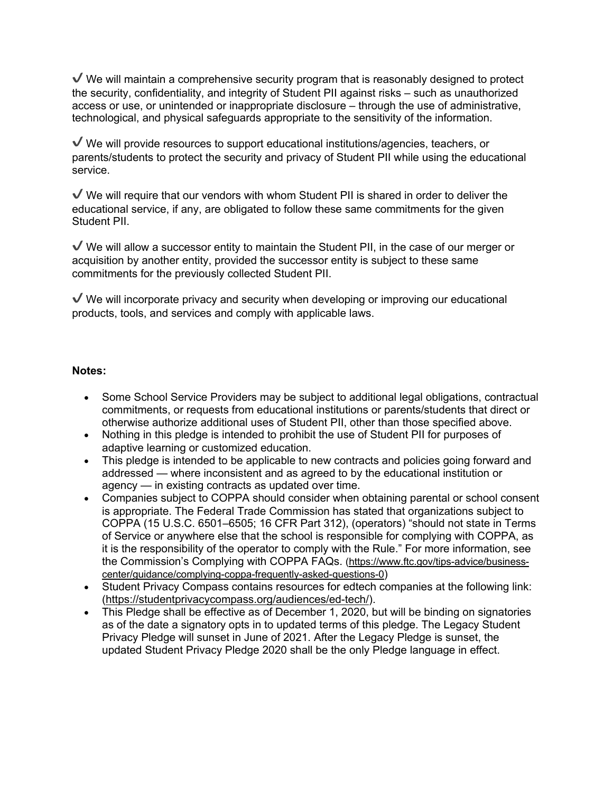$\vee$  We will maintain a comprehensive security program that is reasonably designed to protect the security, confidentiality, and integrity of Student PII against risks – such as unauthorized access or use, or unintended or inappropriate disclosure – through the use of administrative, technological, and physical safeguards appropriate to the sensitivity of the information.

 $\vee$  We will provide resources to support educational institutions/agencies, teachers, or parents/students to protect the security and privacy of Student PII while using the educational service.

 $\checkmark$  We will require that our vendors with whom Student PII is shared in order to deliver the educational service, if any, are obligated to follow these same commitments for the given Student PII.

 $\sqrt{\ }$  We will allow a successor entity to maintain the Student PII, in the case of our merger or acquisition by another entity, provided the successor entity is subject to these same commitments for the previously collected Student PII.

 $\vee$  We will incorporate privacy and security when developing or improving our educational products, tools, and services and comply with applicable laws.

## **Notes:**

- Some School Service Providers may be subject to additional legal obligations, contractual commitments, or requests from educational institutions or parents/students that direct or otherwise authorize additional uses of Student PII, other than those specified above.
- Nothing in this pledge is intended to prohibit the use of Student PII for purposes of adaptive learning or customized education.
- This pledge is intended to be applicable to new contracts and policies going forward and addressed — where inconsistent and as agreed to by the educational institution or agency — in existing contracts as updated over time.
- Companies subject to COPPA should consider when obtaining parental or school consent is appropriate. The Federal Trade Commission has stated that organizations subject to COPPA (15 U.S.C. 6501–6505; 16 CFR Part 312), (operators) "should not state in Terms of Service or anywhere else that the school is responsible for complying with COPPA, as it is the responsibility of the operator to comply with the Rule." For more information, see the Commission's Complying with COPPA FAQs. (https://www.ftc.gov/tips-advice/businesscenter/guidance/complying-coppa-frequently-asked-questions-0)
- Student Privacy Compass contains resources for edtech companies at the following link: (https://studentprivacycompass.org/audiences/ed-tech/).
- This Pledge shall be effective as of December 1, 2020, but will be binding on signatories as of the date a signatory opts in to updated terms of this pledge. The Legacy Student Privacy Pledge will sunset in June of 2021. After the Legacy Pledge is sunset, the updated Student Privacy Pledge 2020 shall be the only Pledge language in effect.